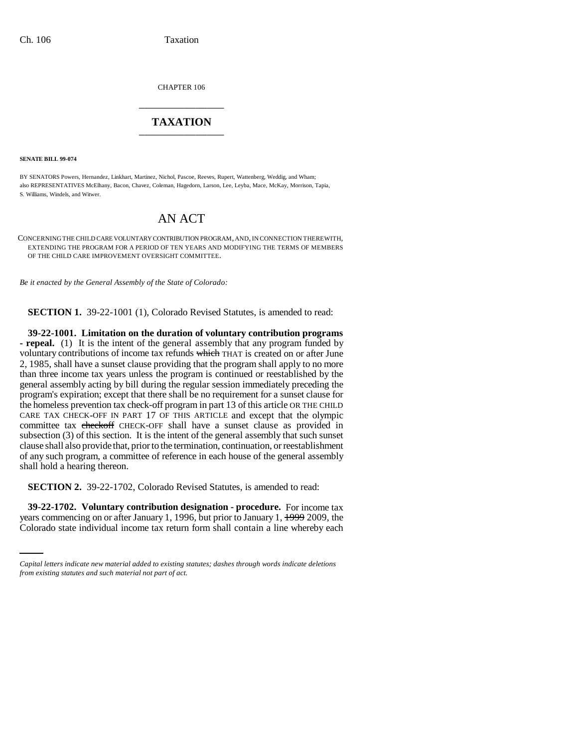CHAPTER 106 \_\_\_\_\_\_\_\_\_\_\_\_\_\_\_

## **TAXATION** \_\_\_\_\_\_\_\_\_\_\_\_\_\_\_

**SENATE BILL 99-074** 

BY SENATORS Powers, Hernandez, Linkhart, Martinez, Nichol, Pascoe, Reeves, Rupert, Wattenberg, Weddig, and Wham; also REPRESENTATIVES McElhany, Bacon, Chavez, Coleman, Hagedorn, Larson, Lee, Leyba, Mace, McKay, Morrison, Tapia, S. Williams, Windels, and Witwer.

## AN ACT

CONCERNING THE CHILD CARE VOLUNTARY CONTRIBUTION PROGRAM, AND, IN CONNECTION THEREWITH, EXTENDING THE PROGRAM FOR A PERIOD OF TEN YEARS AND MODIFYING THE TERMS OF MEMBERS OF THE CHILD CARE IMPROVEMENT OVERSIGHT COMMITTEE.

*Be it enacted by the General Assembly of the State of Colorado:*

**SECTION 1.** 39-22-1001 (1), Colorado Revised Statutes, is amended to read:

**39-22-1001. Limitation on the duration of voluntary contribution programs - repeal.** (1) It is the intent of the general assembly that any program funded by voluntary contributions of income tax refunds which THAT is created on or after June 2, 1985, shall have a sunset clause providing that the program shall apply to no more than three income tax years unless the program is continued or reestablished by the general assembly acting by bill during the regular session immediately preceding the program's expiration; except that there shall be no requirement for a sunset clause for the homeless prevention tax check-off program in part 13 of this article OR THE CHILD CARE TAX CHECK-OFF IN PART 17 OF THIS ARTICLE and except that the olympic committee tax checkoff CHECK-OFF shall have a sunset clause as provided in subsection (3) of this section. It is the intent of the general assembly that such sunset clause shall also provide that, prior to the termination, continuation, or reestablishment of any such program, a committee of reference in each house of the general assembly shall hold a hearing thereon.

**SECTION 2.** 39-22-1702, Colorado Revised Statutes, is amended to read:

 **39-22-1702. Voluntary contribution designation - procedure.** For income tax years commencing on or after January 1, 1996, but prior to January 1, 1999 2009, the Colorado state individual income tax return form shall contain a line whereby each

*Capital letters indicate new material added to existing statutes; dashes through words indicate deletions from existing statutes and such material not part of act.*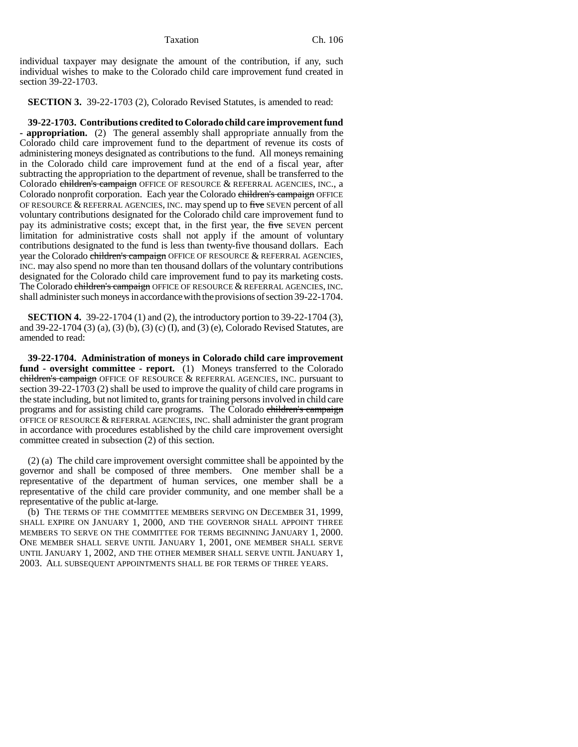Taxation Ch. 106

individual taxpayer may designate the amount of the contribution, if any, such individual wishes to make to the Colorado child care improvement fund created in section 39-22-1703.

**SECTION 3.** 39-22-1703 (2), Colorado Revised Statutes, is amended to read:

**39-22-1703. Contributions credited to Colorado child care improvement fund - appropriation.** (2) The general assembly shall appropriate annually from the Colorado child care improvement fund to the department of revenue its costs of administering moneys designated as contributions to the fund. All moneys remaining in the Colorado child care improvement fund at the end of a fiscal year, after subtracting the appropriation to the department of revenue, shall be transferred to the Colorado children's campaign OFFICE OF RESOURCE & REFERRAL AGENCIES, INC., a Colorado nonprofit corporation. Each year the Colorado children's campaign OFFICE OF RESOURCE  $&$  REFERRAL AGENCIES, INC. may spend up to five SEVEN percent of all voluntary contributions designated for the Colorado child care improvement fund to pay its administrative costs; except that, in the first year, the five SEVEN percent limitation for administrative costs shall not apply if the amount of voluntary contributions designated to the fund is less than twenty-five thousand dollars. Each year the Colorado children's campaign OFFICE OF RESOURCE & REFERRAL AGENCIES, INC. may also spend no more than ten thousand dollars of the voluntary contributions designated for the Colorado child care improvement fund to pay its marketing costs. The Colorado children's campaign OFFICE OF RESOURCE & REFERRAL AGENCIES, INC. shall administer such moneys in accordance with the provisions of section 39-22-1704.

**SECTION 4.** 39-22-1704 (1) and (2), the introductory portion to 39-22-1704 (3), and 39-22-1704 (3) (a), (3) (b), (3) (c) (I), and (3) (e), Colorado Revised Statutes, are amended to read:

**39-22-1704. Administration of moneys in Colorado child care improvement fund - oversight committee - report.** (1) Moneys transferred to the Colorado children's campaign OFFICE OF RESOURCE & REFERRAL AGENCIES, INC. pursuant to section 39-22-1703 (2) shall be used to improve the quality of child care programs in the state including, but not limited to, grants for training persons involved in child care programs and for assisting child care programs. The Colorado children's campaign OFFICE OF RESOURCE & REFERRAL AGENCIES, INC. shall administer the grant program in accordance with procedures established by the child care improvement oversight committee created in subsection (2) of this section.

(2) (a) The child care improvement oversight committee shall be appointed by the governor and shall be composed of three members. One member shall be a representative of the department of human services, one member shall be a representative of the child care provider community, and one member shall be a representative of the public at-large.

(b) THE TERMS OF THE COMMITTEE MEMBERS SERVING ON DECEMBER 31, 1999, SHALL EXPIRE ON JANUARY 1, 2000, AND THE GOVERNOR SHALL APPOINT THREE MEMBERS TO SERVE ON THE COMMITTEE FOR TERMS BEGINNING JANUARY 1, 2000. ONE MEMBER SHALL SERVE UNTIL JANUARY 1, 2001, ONE MEMBER SHALL SERVE UNTIL JANUARY 1, 2002, AND THE OTHER MEMBER SHALL SERVE UNTIL JANUARY 1, 2003. ALL SUBSEQUENT APPOINTMENTS SHALL BE FOR TERMS OF THREE YEARS.